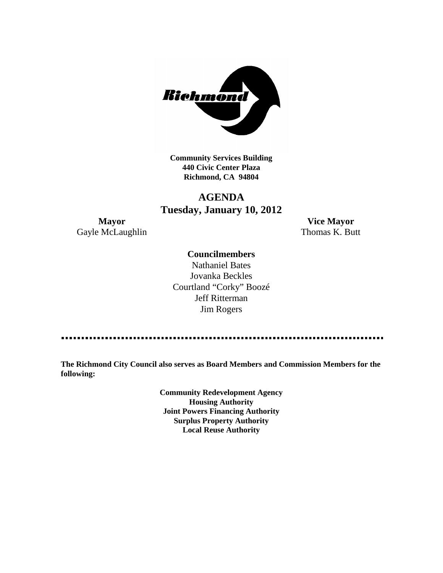

**Community Services Building 440 Civic Center Plaza Richmond, CA 94804**

# **AGENDA Tuesday, January 10, 2012**

Gayle McLaughlin Thomas K. Butt

**Mayor Vice Mayor**

### **Councilmembers**

Nathaniel Bates Jovanka Beckles Courtland "Corky" Boozé Jeff Ritterman Jim Rogers

**The Richmond City Council also serves as Board Members and Commission Members for the following:**

> **Community Redevelopment Agency Housing Authority Joint Powers Financing Authority Surplus Property Authority Local Reuse Authority**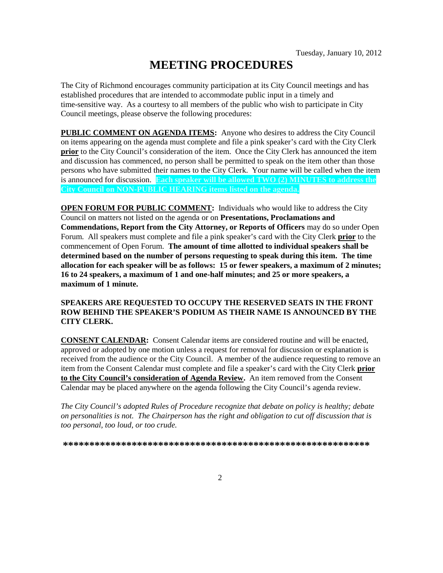# **MEETING PROCEDURES**

The City of Richmond encourages community participation at its City Council meetings and has established procedures that are intended to accommodate public input in a timely and time-sensitive way. As a courtesy to all members of the public who wish to participate in City Council meetings, please observe the following procedures:

**PUBLIC COMMENT ON AGENDA ITEMS:** Anyone who desires to address the City Council on items appearing on the agenda must complete and file a pink speaker's card with the City Clerk **prior** to the City Council's consideration of the item. Once the City Clerk has announced the item and discussion has commenced, no person shall be permitted to speak on the item other than those persons who have submitted their names to the City Clerk. Your name will be called when the item is announced for discussion. **Each speaker will be allowed TWO (2) MINUTES to address the City Council on NON-PUBLIC HEARING items listed on the agenda.**

**OPEN FORUM FOR PUBLIC COMMENT:** Individuals who would like to address the City Council on matters not listed on the agenda or on **Presentations, Proclamations and Commendations, Report from the City Attorney, or Reports of Officers** may do so under Open Forum. All speakers must complete and file a pink speaker's card with the City Clerk **prior** to the commencement of Open Forum. **The amount of time allotted to individual speakers shall be determined based on the number of persons requesting to speak during this item. The time allocation for each speaker will be as follows: 15 or fewer speakers, a maximum of 2 minutes; 16 to 24 speakers, a maximum of 1 and one-half minutes; and 25 or more speakers, a maximum of 1 minute.**

### **SPEAKERS ARE REQUESTED TO OCCUPY THE RESERVED SEATS IN THE FRONT ROW BEHIND THE SPEAKER'S PODIUM AS THEIR NAME IS ANNOUNCED BY THE CITY CLERK.**

**CONSENT CALENDAR:** Consent Calendar items are considered routine and will be enacted, approved or adopted by one motion unless a request for removal for discussion or explanation is received from the audience or the City Council. A member of the audience requesting to remove an item from the Consent Calendar must complete and file a speaker's card with the City Clerk **prior to the City Council's consideration of Agenda Review.** An item removed from the Consent Calendar may be placed anywhere on the agenda following the City Council's agenda review.

*The City Council's adopted Rules of Procedure recognize that debate on policy is healthy; debate on personalities is not. The Chairperson has the right and obligation to cut off discussion that is too personal, too loud, or too crude.*

**\*\*\*\*\*\*\*\*\*\*\*\*\*\*\*\*\*\*\*\*\*\*\*\*\*\*\*\*\*\*\*\*\*\*\*\*\*\*\*\*\*\*\*\*\*\*\*\*\*\*\*\*\*\*\*\*\*\***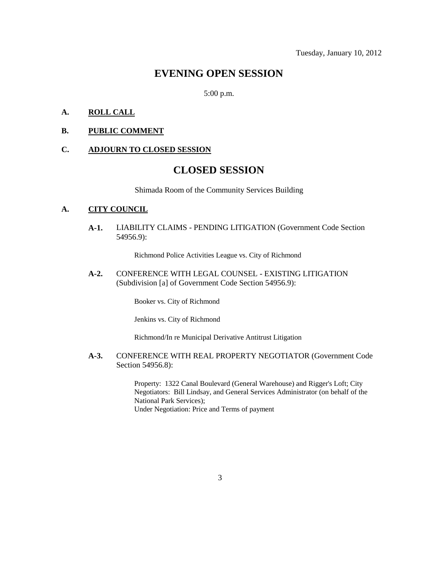### **EVENING OPEN SESSION**

5:00 p.m.

### **A. ROLL CALL**

#### **B. PUBLIC COMMENT**

#### **C. ADJOURN TO CLOSED SESSION**

# **CLOSED SESSION**

Shimada Room of the Community Services Building

#### **A. CITY COUNCIL**

**A-1.** LIABILITY CLAIMS - PENDING LITIGATION (Government Code Section 54956.9):

Richmond Police Activities League vs. City of Richmond

**A-2.** CONFERENCE WITH LEGAL COUNSEL - EXISTING LITIGATION (Subdivision [a] of Government Code Section 54956.9):

Booker vs. City of Richmond

Jenkins vs. City of Richmond

Richmond/In re Municipal Derivative Antitrust Litigation

**A-3.** CONFERENCE WITH REAL PROPERTY NEGOTIATOR (Government Code Section 54956.8):

> Property: 1322 Canal Boulevard (General Warehouse) and Rigger's Loft; City Negotiators: Bill Lindsay, and General Services Administrator (on behalf of the National Park Services); Under Negotiation: Price and Terms of payment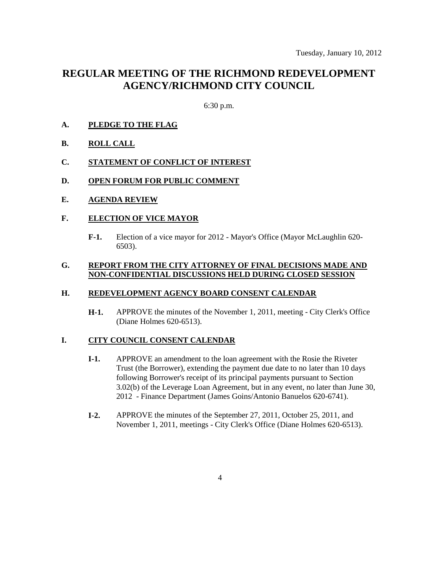# **REGULAR MEETING OF THE RICHMOND REDEVELOPMENT AGENCY/RICHMOND CITY COUNCIL**

6:30 p.m.

- **A. PLEDGE TO THE FLAG**
- **B. ROLL CALL**
- **C. STATEMENT OF CONFLICT OF INTEREST**
- **D. OPEN FORUM FOR PUBLIC COMMENT**
- **E. AGENDA REVIEW**

### **F. ELECTION OF VICE MAYOR**

**F-1.** Election of a vice mayor for 2012 - Mayor's Office (Mayor McLaughlin 620- 6503).

### **G. REPORT FROM THE CITY ATTORNEY OF FINAL DECISIONS MADE AND NON-CONFIDENTIAL DISCUSSIONS HELD DURING CLOSED SESSION**

### **H. REDEVELOPMENT AGENCY BOARD CONSENT CALENDAR**

**H-1.** APPROVE the minutes of the November 1, 2011, meeting - City Clerk's Office (Diane Holmes 620-6513).

### **I. CITY COUNCIL CONSENT CALENDAR**

- **I-1.** APPROVE an amendment to the loan agreement with the Rosie the Riveter Trust (the Borrower), extending the payment due date to no later than 10 days following Borrower's receipt of its principal payments pursuant to Section 3.02(b) of the Leverage Loan Agreement, but in any event, no later than June 30, 2012 - Finance Department (James Goins/Antonio Banuelos 620-6741).
- **I-2.** APPROVE the minutes of the September 27, 2011, October 25, 2011, and November 1, 2011, meetings - City Clerk's Office (Diane Holmes 620-6513).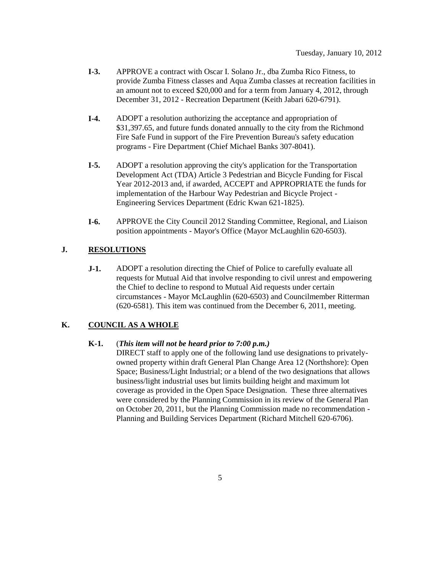- **I-3.** APPROVE a contract with Oscar I. Solano Jr., dba Zumba Rico Fitness, to provide Zumba Fitness classes and Aqua Zumba classes at recreation facilities in an amount not to exceed \$20,000 and for a term from January 4, 2012, through December 31, 2012 - Recreation Department (Keith Jabari 620-6791).
- **I-4.** ADOPT a resolution authorizing the acceptance and appropriation of \$31,397.65, and future funds donated annually to the city from the Richmond Fire Safe Fund in support of the Fire Prevention Bureau's safety education programs - Fire Department (Chief Michael Banks 307-8041).
- **I-5.** ADOPT a resolution approving the city's application for the Transportation Development Act (TDA) Article 3 Pedestrian and Bicycle Funding for Fiscal Year 2012-2013 and, if awarded, ACCEPT and APPROPRIATE the funds for implementation of the Harbour Way Pedestrian and Bicycle Project - Engineering Services Department (Edric Kwan 621-1825).
- **I-6.** APPROVE the City Council 2012 Standing Committee, Regional, and Liaison position appointments - Mayor's Office (Mayor McLaughlin 620-6503).

### **J. RESOLUTIONS**

**J-1.** ADOPT a resolution directing the Chief of Police to carefully evaluate all requests for Mutual Aid that involve responding to civil unrest and empowering the Chief to decline to respond to Mutual Aid requests under certain circumstances - Mayor McLaughlin (620-6503) and Councilmember Ritterman (620-6581). This item was continued from the December 6, 2011, meeting.

### **K. COUNCIL AS A WHOLE**

### **K-1.** (*This item will not be heard prior to 7:00 p.m.)*

DIRECT staff to apply one of the following land use designations to privatelyowned property within draft General Plan Change Area 12 (Northshore): Open Space; Business/Light Industrial; or a blend of the two designations that allows business/light industrial uses but limits building height and maximum lot coverage as provided in the Open Space Designation. These three alternatives were considered by the Planning Commission in its review of the General Plan on October 20, 2011, but the Planning Commission made no recommendation - Planning and Building Services Department (Richard Mitchell 620-6706).